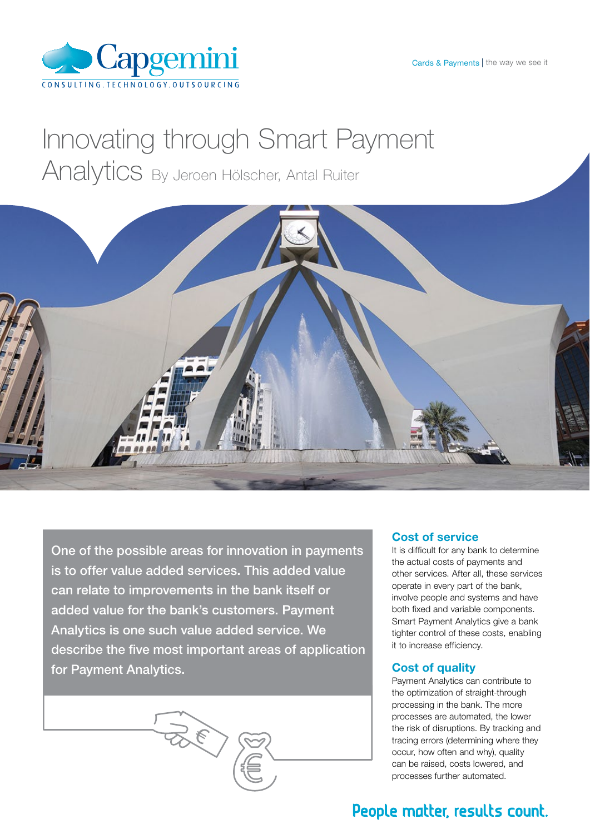

# Innovating through Smart Payment Analytics By Jeroen Hölscher, Antal Ruiter



One of the possible areas for innovation in payments is to offer value added services. This added value can relate to improvements in the bank itself or added value for the bank's customers. Payment Analytics is one such value added service. We describe the five most important areas of application for Payment Analytics.

**RECTE** 



It is difficult for any bank to determine the actual costs of payments and other services. After all, these services operate in every part of the bank, involve people and systems and have both fixed and variable components. Smart Payment Analytics give a bank tighter control of these costs, enabling it to increase efficiency.

## Cost of quality

Payment Analytics can contribute to the optimization of straight-through processing in the bank. The more processes are automated, the lower the risk of disruptions. By tracking and tracing errors (determining where they occur, how often and why), quality can be raised, costs lowered, and processes further automated.

# People matter, results count.